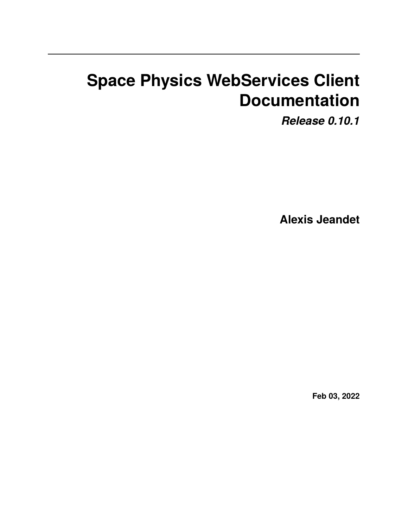# **Space Physics WebServices Client Documentation**

*Release 0.10.1*

**Alexis Jeandet**

**Feb 03, 2022**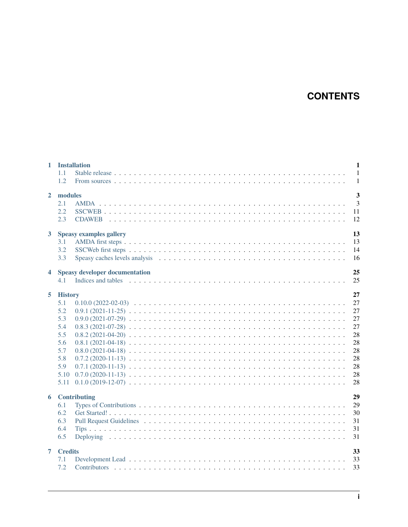# **CONTENTS**

| $\mathbf{1}$   | <b>Installation</b><br>1.1<br>1.2                                                             | $\mathbf{1}$<br>$\mathbf{1}$<br>$\mathbf{1}$                         |
|----------------|-----------------------------------------------------------------------------------------------|----------------------------------------------------------------------|
| $\mathbf{2}$   | modules<br>2.1<br>2.2<br>2.3                                                                  | $\overline{3}$<br>$\overline{3}$<br>11<br>12                         |
| $3^{\circ}$    | <b>Speasy examples gallery</b><br>3.1<br>3.2<br>3.3                                           | 13<br>13<br>14<br>16                                                 |
| 4              | <b>Speasy developer documentation</b><br>4.1                                                  | 25<br>25                                                             |
| 5              | <b>History</b><br>5.1<br>5.2<br>5.3<br>5.4<br>5.5<br>5.6<br>5.7<br>5.8<br>5.9<br>5.10<br>5.11 | 27<br>27<br>27<br>27<br>27<br>28<br>28<br>28<br>28<br>28<br>28<br>28 |
| 6              | Contributing<br>6.1<br>6.2<br>6.3<br>6.4<br>6.5                                               | 29<br>29<br>30<br>31<br>31<br>31                                     |
| $\overline{7}$ | <b>Credits</b><br>7.1<br>7.2                                                                  | 33<br>33<br>33                                                       |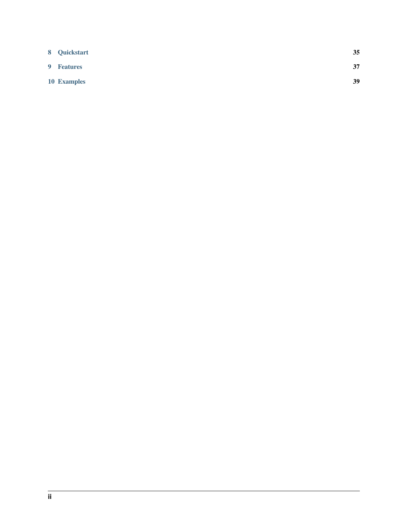| 8 Quickstart | 35 |
|--------------|----|
| 9 Features   | 37 |
| 10 Examples  | 39 |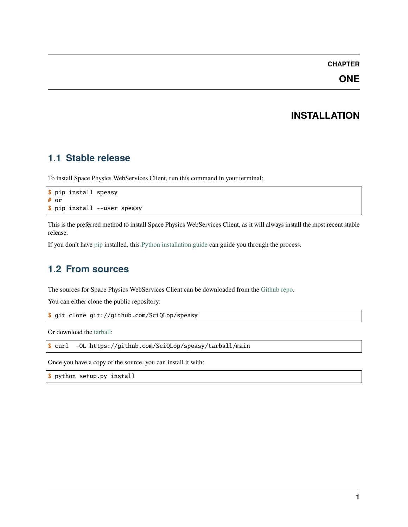### **ONE**

# **INSTALLATION**

### <span id="page-4-1"></span><span id="page-4-0"></span>**1.1 Stable release**

To install Space Physics WebServices Client, run this command in your terminal:

```
$ pip install speasy
# or
$ pip install --user speasy
```
This is the preferred method to install Space Physics WebServices Client, as it will always install the most recent stable release.

If you don't have [pip](https://pip.pypa.io) installed, this [Python installation guide](http://docs.python-guide.org/en/latest/starting/installation/) can guide you through the process.

### <span id="page-4-2"></span>**1.2 From sources**

The sources for Space Physics WebServices Client can be downloaded from the [Github repo.](https://github.com/SciQLop/speasy)

You can either clone the public repository:

```
$ git clone git://github.com/SciQLop/speasy
```
Or download the [tarball:](https://github.com/SciQLop/speasy/tarball/main)

```
$ curl -OL https://github.com/SciQLop/speasy/tarball/main
```
Once you have a copy of the source, you can install it with:

\$ python setup.py install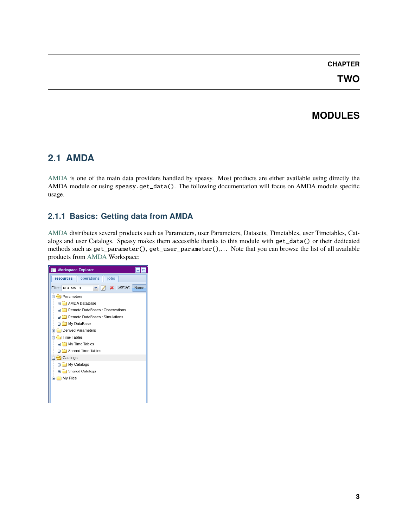**TWO**

# **MODULES**

### <span id="page-6-1"></span><span id="page-6-0"></span>**2.1 AMDA**

[AMDA](http://amda.irap.omp.eu/) is one of the main data providers handled by speasy. Most products are either available using directly the AMDA module or using speasy.get\_data(). The following documentation will focus on AMDA module specific usage.

#### **2.1.1 Basics: Getting data from AMDA**

[AMDA](http://amda.irap.omp.eu/) distributes several products such as Parameters, user Parameters, Datasets, Timetables, user Timetables, Catalogs and user Catalogs. Speasy makes them accessible thanks to this module with get\_data() or their dedicated methods such as get\_parameter(), get\_user\_parameter(),. . . Note that you can browse the list of all available products from [AMDA](http://amda.irap.omp.eu/) Workspace:

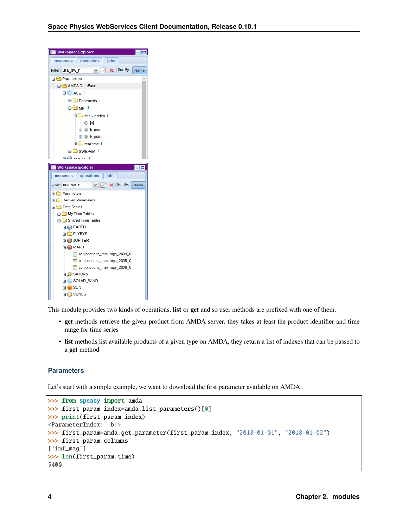

This module provides two kinds of operations, **list** or **get** and so user methods are prefixed with one of them.

- **get** methods retrieve the given product from AMDA server, they takes at least the product identifier and time range for time series
- **list** methods list available products of a given type on AMDA, they return a list of indexes that can be passed to a **get** method

#### **Parameters**

Let's start with a simple example, we want to download the first parameter available on AMDA:

```
>>> from speasy import amda
>>> first_param_index=amda.list_parameters()[0]
>>> print(first_param_index)
<ParameterIndex: |b|>
>>> first_param=amda.get_parameter(first_param_index, "2018-01-01", "2018-01-02")
>>> first_param.columns
['imf_mag']
>>> len(first_param.time)
5400
```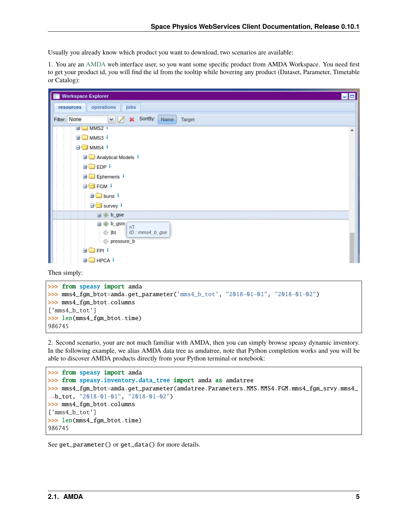Usually you already know which product you want to download, two scenarios are available:

1. You are an [AMDA](http://amda.irap.omp.eu/) web interface user, so you want some specific product from AMDA Workspace. You need first to get your product id, you will find the id from the tooltip while hovering any product (Dataset, Parameter, Timetable or Catalog):

| <b>Workspace Explorer</b><br>$\blacksquare$        |
|----------------------------------------------------|
| operations<br>jobs<br>resources                    |
| X SortBy:<br>YZ<br>Filter: None<br>Name<br>Target  |
| HILL MMS2                                          |
| <b>E</b> MMS3 i                                    |
| O MMS4 i                                           |
| Analytical Models i                                |
| <b>EDP</b> i                                       |
| <b>Ephemeris</b> i                                 |
| <b>OF FGM</b>                                      |
| <b>D</b> burst i                                   |
| ⊟ <del></del> Survey i                             |
| b_gse<br>田                                         |
| b_gsm<br>nT<br>ID: <i>mms4</i> b gse<br>$\odot$  b |
| @ pressure_b                                       |
| ⊞⊟FPIi                                             |
| <b>E</b> HPCA <sup>I</sup>                         |

Then simply:

```
>>> from speasy import amda
>>> mms4_fgm_btot=amda.get_parameter('mms4_b_tot', "2018-01-01", "2018-01-02")
>>> mms4_fgm_btot.columns
['mms4_b_tot']
>>> len(mms4_fgm_btot.time)
986745
```
2. Second scenario, your are not much familiar with AMDA, then you can simply browse speasy dynamic inventory. In the following example, we alias AMDA data tree as amdatree, note that Python completion works and you will be able to discover AMDA products directly from your Python terminal or notebook:

```
>>> from speasy import amda
>>> from speasy.inventory.data_tree import amda as amdatree
>>> mms4_fgm_btot=amda.get_parameter(amdatree.Parameters.MMS.MMS4.FGM.mms4_fgm_srvy.mms4_
˓→b_tot, "2018-01-01", "2018-01-02")
>>> mms4_fgm_btot.columns
['mms4_b_tot']
>>> len(mms4_fgm_btot.time)
986745
```
See get\_parameter() or get\_data() for more details.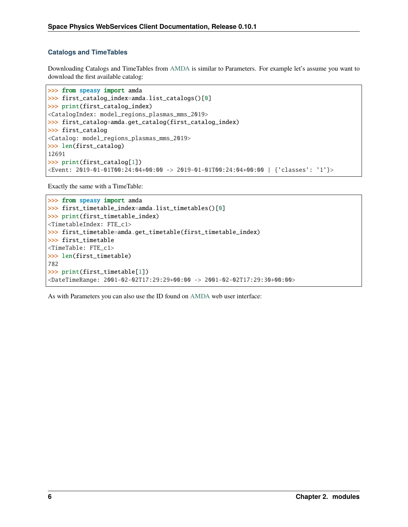#### **Catalogs and TimeTables**

Downloading Catalogs and TimeTables from [AMDA](http://amda.irap.omp.eu/) is similar to Parameters. For example let's assume you want to download the first available catalog:

```
>>> from speasy import amda
>>> first_catalog_index=amda.list_catalogs()[0]
>>> print(first_catalog_index)
<CatalogIndex: model_regions_plasmas_mms_2019>
>>> first_catalog=amda.get_catalog(first_catalog_index)
>>> first_catalog
<Catalog: model_regions_plasmas_mms_2019>
>>> len(first_catalog)
12691
>>> print(first_catalog[1])
<Event: 2019-01-01T00:24:04+00:00 -> 2019-01-01T00:24:04+00:00 | {'classes': '1'}>
```
Exactly the same with a TimeTable:

```
>>> from speasy import amda
>>> first_timetable_index=amda.list_timetables()[0]
>>> print(first_timetable_index)
<TimetableIndex: FTE_c1>
>>> first_timetable=amda.get_timetable(first_timetable_index)
>>> first_timetable
<TimeTable: FTE_c1>
>>> len(first_timetable)
782
>>> print(first_timetable[1])
<DateTimeRange: 2001-02-02T17:29:29+00:00 -> 2001-02-02T17:29:30+00:00>
```
As with Parameters you can also use the ID found on [AMDA](http://amda.irap.omp.eu/) web user interface: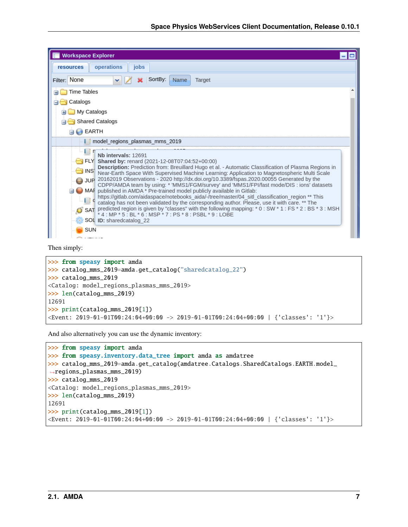| <b>Workspace Explorer</b>                                                                                                                                                                                                                                                                                                                                                                                                                                                                                                                                                                                                                                                                                                                                                                                                                                                                                                                                                                                        |  |
|------------------------------------------------------------------------------------------------------------------------------------------------------------------------------------------------------------------------------------------------------------------------------------------------------------------------------------------------------------------------------------------------------------------------------------------------------------------------------------------------------------------------------------------------------------------------------------------------------------------------------------------------------------------------------------------------------------------------------------------------------------------------------------------------------------------------------------------------------------------------------------------------------------------------------------------------------------------------------------------------------------------|--|
| operations<br>jobs<br><b>resources</b>                                                                                                                                                                                                                                                                                                                                                                                                                                                                                                                                                                                                                                                                                                                                                                                                                                                                                                                                                                           |  |
| Filter: None<br>SortBy:<br>Name<br>Target                                                                                                                                                                                                                                                                                                                                                                                                                                                                                                                                                                                                                                                                                                                                                                                                                                                                                                                                                                        |  |
| Time Tables                                                                                                                                                                                                                                                                                                                                                                                                                                                                                                                                                                                                                                                                                                                                                                                                                                                                                                                                                                                                      |  |
| Catalogs                                                                                                                                                                                                                                                                                                                                                                                                                                                                                                                                                                                                                                                                                                                                                                                                                                                                                                                                                                                                         |  |
| My Catalogs                                                                                                                                                                                                                                                                                                                                                                                                                                                                                                                                                                                                                                                                                                                                                                                                                                                                                                                                                                                                      |  |
| Shared Catalogs                                                                                                                                                                                                                                                                                                                                                                                                                                                                                                                                                                                                                                                                                                                                                                                                                                                                                                                                                                                                  |  |
| <b>EARTH</b>                                                                                                                                                                                                                                                                                                                                                                                                                                                                                                                                                                                                                                                                                                                                                                                                                                                                                                                                                                                                     |  |
| model regions plasmas mms 2019                                                                                                                                                                                                                                                                                                                                                                                                                                                                                                                                                                                                                                                                                                                                                                                                                                                                                                                                                                                   |  |
| Nb intervals: 12691<br>FLY Shared by: renard $(2021-12-08T07:04:52+00:00)$<br>Description: Prediction from: Breuillard Hugo et al. - Automatic Classification of Plasma Regions in<br>$\overline{\Box}$ INS<br>Near-Earth Space With Supervised Machine Learning: Application to Magnetospheric Multi Scale<br>JUP 20162019 Observations - 2020 http://dx.doi.org/10.3389/fspas.2020.00055 Generated by the<br>CDPP/AMDA team by using: * 'MMS1/FGM/survey' and 'MMS1/FPI/fast mode/DIS : ions' datasets<br>MAF published in AMDA * Pre-trained model publicly available in Gitlab:<br>https://gitlab.com/aidaspace/notebooks aida/-/tree/master/04 sitl classification region ** This<br>catalog has not been validated by the corresponding author. Please, use it with care. ** The<br>SAT predicted region is given by "classes" with the following mapping: $*$ 0 : SW $*$ 1 : FS $*$ 2 : BS $*$ 3 : MSH $*$ 4 : MP $*$ 5 : BL $*$ 6 : MSP $*$ 7 : PS $*$ 8 : PSBL $*$ 9 : LOBE<br>SOL ID: sharedcatalog 22 |  |
| SUN                                                                                                                                                                                                                                                                                                                                                                                                                                                                                                                                                                                                                                                                                                                                                                                                                                                                                                                                                                                                              |  |

#### Then simply:

```
>>> from speasy import amda
>>> catalog_mms_2019=amda.get_catalog("sharedcatalog_22")
>>> catalog_mms_2019
<Catalog: model_regions_plasmas_mms_2019>
>>> len(catalog_mms_2019)
12691
>>> print(catalog_mms_2019[1])
<Event: 2019-01-01T00:24:04+00:00 -> 2019-01-01T00:24:04+00:00 | {'classes': '1'}>
```
And also alternatively you can use the dynamic inventory:

```
>>> from speasy import amda
>>> from speasy.inventory.data_tree import amda as amdatree
>>> catalog_mms_2019=amda.get_catalog(amdatree.Catalogs.SharedCatalogs.EARTH.model_
˓→regions_plasmas_mms_2019)
>>> catalog_mms_2019
<Catalog: model_regions_plasmas_mms_2019>
>>> len(catalog_mms_2019)
12691
>>> print(catalog_mms_2019[1])
<Event: 2019-01-01T00:24:04+00:00 -> 2019-01-01T00:24:04+00:00 | {'classes': '1'}>
```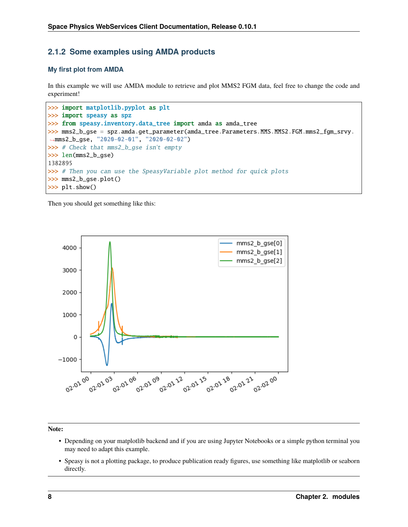#### **2.1.2 Some examples using AMDA products**

#### **My first plot from AMDA**

In this example we will use AMDA module to retrieve and plot MMS2 FGM data, feel free to change the code and experiment!

```
>>> import matplotlib.pyplot as plt
>>> import speasy as spz
>>> from speasy.inventory.data_tree import amda as amda_tree
>>> mms2_b_gse = spz.amda.get_parameter(amda_tree.Parameters.MMS.MMS2.FGM.mms2_fgm_srvy.
˓→mms2_b_gse, "2020-02-01", "2020-02-02")
>>> # Check that mms2_b_gse isn't empty
>>> len(mms2_b_gse)
1382895
>>> # Then you can use the SpeasyVariable plot method for quick plots
>>> mms2_b_gse.plot()
>>> plt.show()
```
Then you should get something like this:



**Note:**

- Depending on your matplotlib backend and if you are using Jupyter Notebooks or a simple python terminal you may need to adapt this example.
- Speasy is not a plotting package, to produce publication ready figures, use something like matplotlib or seaborn directly.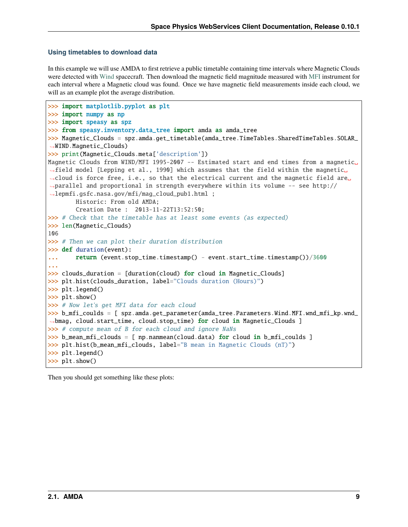#### **Using timetables to download data**

In this example we will use AMDA to first retrieve a public timetable containing time intervals where Magnetic Clouds were detected with [Wind](https://wind.nasa.gov/) spacecraft. Then download the magnetic field magnitude measured with [MFI](https://wind.nasa.gov/mfi/instrumentation.html) instrument for each interval where a Magnetic cloud was found. Once we have magnetic field measurements inside each cloud, we will as an example plot the average distribution.

```
>>> import matplotlib.pyplot as plt
>>> import numpy as np
>>> import speasy as spz
>>> from speasy.inventory.data_tree import amda as amda_tree
>>> Magnetic_Clouds = spz.amda.get_timetable(amda_tree.TimeTables.SharedTimeTables.SOLAR_
˓→WIND.Magnetic_Clouds)
>>> print(Magnetic_Clouds.meta['description'])
Magnetic Clouds from WIND/MFI 1995-2007 -- Estimated start and end times from a magnetic␣
\rightarrowfield model [Lepping et al., 1990] which assumes that the field within the magnetic
→cloud is force free, i.e., so that the electrical current and the magnetic field are<sub></sub>
˓→parallel and proportional in strength everywhere within its volume -- see http://
˓→lepmfi.gsfc.nasa.gov/mfi/mag_cloud_pub1.html ;
        Historic: From old AMDA;
        Creation Date : 2013-11-22T13:52:50;
>>> # Check that the timetable has at least some events (as expected)
>>> len(Magnetic_Clouds)
106
>>> # Then we can plot their duration distribution
>>> def duration(event):
... return (event.stop_time.timestamp() - event.start_time.timestamp())/3600
...
>>> clouds_duration = [duration(cloud) for cloud in Magnetic_Clouds]
>>> plt.hist(clouds_duration, label="Clouds duration (Hours)")
>>> plt.legend()
>>> plt.show()
>>> # Now let's get MFI data for each cloud
>>> b_mfi_coulds = [ spz.amda.get_parameter(amda_tree.Parameters.Wind.MFI.wnd_mfi_kp.wnd_
˓→bmag, cloud.start_time, cloud.stop_time) for cloud in Magnetic_Clouds ]
>>> # compute mean of B for each cloud and ignore NaNs
>>> b_mean_mfi_clouds = [ np.nanmean(cloud.data) for cloud in b_mfi_coulds ]
>>> plt.hist(b_mean_mfi_clouds, label="B mean in Magnetic Clouds (nT)")
>>> plt.legend()
>>> plt.show()
```
Then you should get something like these plots: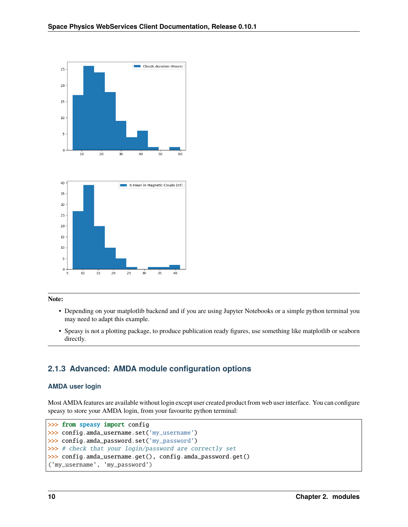

#### **Note:**

- Depending on your matplotlib backend and if you are using Jupyter Notebooks or a simple python terminal you may need to adapt this example.
- Speasy is not a plotting package, to produce publication ready figures, use something like matplotlib or seaborn directly.

#### **2.1.3 Advanced: AMDA module configuration options**

#### **AMDA user login**

Most AMDA features are available without login except user created product from web user interface. You can configure speasy to store your AMDA login, from your favourite python terminal:

```
>>> from speasy import config
>>> config.amda_username.set('my_username')
>>> config.amda_password.set('my_password')
>>> # check that your login/password are correctly set
>>> config.amda_username.get(), config.amda_password.get()
('my_username', 'my_password')
```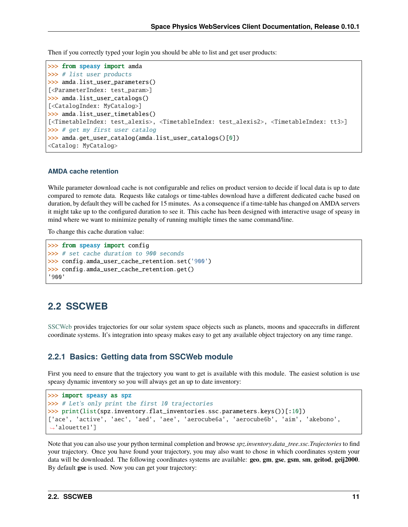Then if you correctly typed your login you should be able to list and get user products:

```
>>> from speasy import amda
>>> # list user products
>>> amda.list_user_parameters()
[<ParameterIndex: test_param>]
>>> amda.list_user_catalogs()
[<CatalogIndex: MyCatalog>]
>>> amda.list_user_timetables()
[<TimetableIndex: test_alexis>, <TimetableIndex: test_alexis2>, <TimetableIndex: tt3>]
>>> # get my first user catalog
>>> amda.get_user_catalog(amda.list_user_catalogs()[0])
<Catalog: MyCatalog>
```
#### **AMDA cache retention**

While parameter download cache is not configurable and relies on product version to decide if local data is up to date compared to remote data. Requests like catalogs or time-tables download have a different dedicated cache based on duration, by default they will be cached for 15 minutes. As a consequence if a time-table has changed on AMDA servers it might take up to the configured duration to see it. This cache has been designed with interactive usage of speasy in mind where we want to minimize penalty of running multiple times the same command/line.

To change this cache duration value:

```
>>> from speasy import config
>>> # set cache duration to 900 seconds
>>> config.amda_user_cache_retention.set('900')
>>> config.amda_user_cache_retention.get()
'900'
```
#### <span id="page-14-0"></span>**2.2 SSCWEB**

[SSCWeb](https://sscweb.gsfc.nasa.gov/) provides trajectories for our solar system space objects such as planets, moons and spacecrafts in different coordinate systems. It's integration into speasy makes easy to get any available object trajectory on any time range.

#### **2.2.1 Basics: Getting data from SSCWeb module**

First you need to ensure that the trajectory you want to get is available with this module. The easiest solution is use speasy dynamic inventory so you will always get an up to date inventory:

```
>>> import speasy as spz
>>> # Let's only print the first 10 trajectories
>>> print(list(spz.inventory.flat_inventories.ssc.parameters.keys())[:10])
['ace', 'active', 'aec', 'aed', 'aee', 'aerocube6a', 'aerocube6b', 'aim', 'akebono',
˓→'alouette1']
```
Note that you can also use your python terminal completion and browse *spz.inventory.data\_tree.ssc.Trajectories* to find your trajectory. Once you have found your trajectory, you may also want to chose in which coordinates system your data will be downloaded. The following coordinates systems are available: **geo**, **gm**, **gse**, **gsm**, **sm**, **geitod**, **geij2000**. By default **gse** is used. Now you can get your trajectory: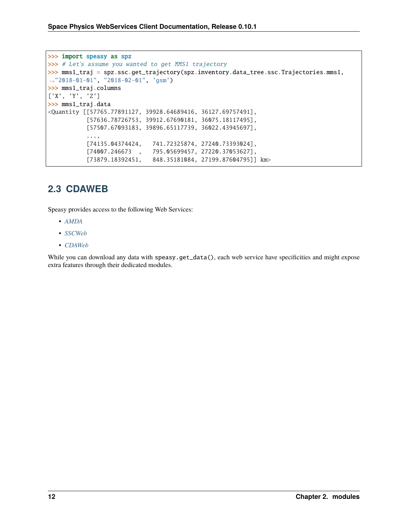```
>>> import speasy as spz
>>> # Let's assume you wanted to get MMS1 trajectory
>>> mms1_traj = spz.ssc.get_trajectory(spz.inventory.data_tree.ssc.Trajectories.mms1,
˓→"2018-01-01", "2018-02-01", 'gsm')
>>> mms1_traj.columns
['X', 'Y', 'Z']
>>> mms1_traj.data
<Quantity [[57765.77891127, 39928.64689416, 36127.69757491],
           [57636.78726753, 39912.67690181, 36075.18117495],
           [57507.67093183, 39896.65117739, 36022.43945697],
           ...,
           [74135.04374424, 741.72325874, 27240.73393024],
           [74007.246673 , 795.05699457, 27220.37053627],
           [73879.18392451, 848.35181084, 27199.87604795]] km>
```
### <span id="page-15-0"></span>**2.3 CDAWEB**

Speasy provides access to the following Web Services:

- *[AMDA](#page-6-1)*
- *[SSCWeb](#page-14-0)*
- *[CDAWeb](#page-15-0)*

While you can download any data with speasy.get\_data(), each web service have specificities and might expose extra features through their dedicated modules.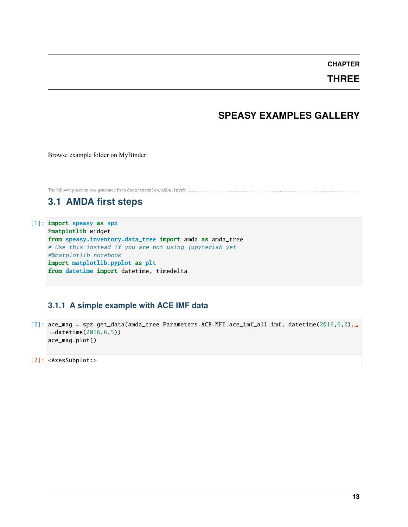**THREE**

### **SPEASY EXAMPLES GALLERY**

<span id="page-16-0"></span>Browse example folder on MyBinder:

<span id="page-16-1"></span>The following section was generated from docs/examples/AMDA.ipynb . . . . . . . . . . . . . . . . . . . . . . . . . . . . . . . . . . . . . . . . . . . . . . . . . . . . . . . . . . . . . . . . . . . . . . . . . . . . . . . . . . . .

### **3.1 AMDA first steps**

[1]: import speasy as spz %matplotlib widget from speasy.inventory.data\_tree import amda as amda\_tree # Use this instead if you are not using jupyterlab yet #%matplotlib notebook import matplotlib.pyplot as plt from datetime import datetime, timedelta

#### **3.1.1 A simple example with ACE IMF data**

[2]: ace\_mag = spz.get\_data(amda\_tree.Parameters.ACE.MFI.ace\_imf\_all.imf, datetime(2016,6,2),␣ →datetime(2016,6,5)) ace\_mag.plot()

[2]: <AxesSubplot:>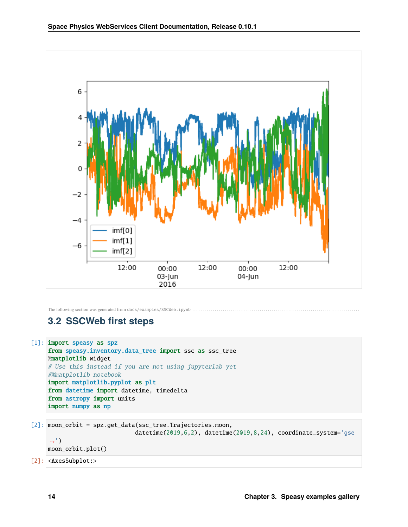

<span id="page-17-0"></span>The following section was generated from docs/examples/SSCWeb.ipynb ...

# **3.2 SSCWeb first steps**

```
[1]: import speasy as spz
     from speasy.inventory.data_tree import ssc as ssc_tree
    %matplotlib widget
     # Use this instead if you are not using jupyterlab yet
     #%matplotlib notebook
     import matplotlib.pyplot as plt
     from datetime import datetime, timedelta
     from astropy import units
    import numpy as np
```

```
[2]: moon_orbit = spz.get_data(ssc_tree.Trajectories.moon,
```

```
datetime(2019,6,2), datetime(2019,8,24), coordinate_system='gse
```

```
\leftrightarrow<sup>'</sup>)
moon_orbit.plot()
```
[2]: <AxesSubplot:>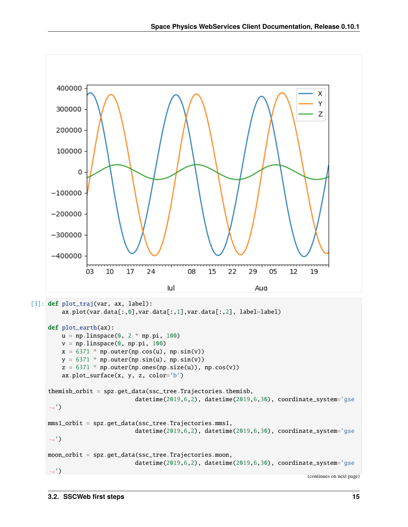

```
[3]: def plot_traj(var, ax, label):
        ax.plot(var.data[:,0],var.data[:,1],var.data[:,2], label=label)
    def plot_earth(ax):
        u = npu.linspace(0, 2 * np.pi, 100)
        v = npulinspace(0, np.pi, 100)
```

```
x = 6371 * np.outer(np.cos(u), np.sin(v))
    y = 6371 * np.outer(np.sin(u), np.sin(v))z = 6371 * np.outer(np.ones(np.size(u)), np.cos(v))
    ax.plot_surface(x, y, z, color='b')
themisb_orbit = spz.get_data(ssc_tree.Trajectories.themisb,
                          datetime(2019,6,2), datetime(2019,6,30), coordinate_system='gse
\leftrightarrow<sup>'</sup>)
mms1_orbit = spz.get_data(ssc_tree.Trajectories.mms1,
                          datetime(2019,6,2), datetime(2019,6,30), coordinate_system='gse
˓→')
moon_orbit = spz.get_data(ssc_tree.Trajectories.moon,
                          datetime(2019,6,2), datetime(2019,6,30), coordinate_system='gse
˓→')
```
(continues on next page)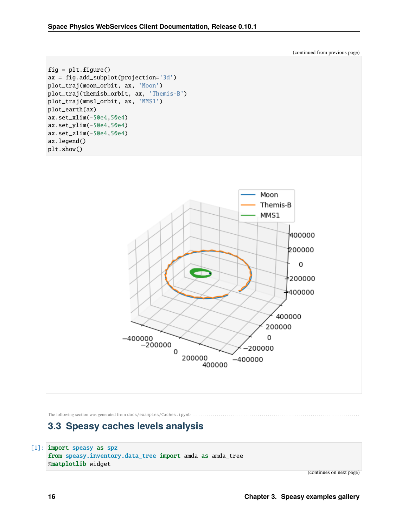

<span id="page-19-0"></span>The following section was generated from docs/examples/Caches.ipynb ....

### **3.3 Speasy caches levels analysis**

```
[1]: import speasy as spz
```
from speasy.inventory.data\_tree import amda as amda\_tree %matplotlib widget

(continues on next page)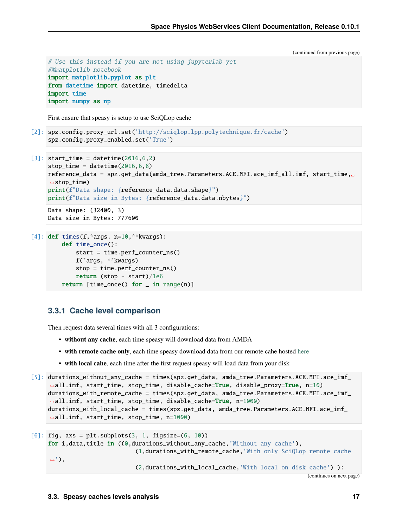(continued from previous page)

```
# Use this instead if you are not using jupyterlab yet
#%matplotlib notebook
import matplotlib.pyplot as plt
from datetime import datetime, timedelta
import time
import numpy as np
```
First ensure that speasy is setup to use SciQLop cache

```
[2]: spz.config.proxy_url.set('http://sciqlop.lpp.polytechnique.fr/cache')
    spz.config.proxy_enabled.set('True')
```

```
[3]: start_time = datetime(2016,6,2)
    stop_time = datetime(2016, 6, 8)reference_data = spz.get_data(amda_tree.Parameters.ACE.MFI.ace_imf_all.imf, start_time,␣
     \rightarrowstop_time)
    print(f"Data shape: {reference_data.data.shape}")
    print(f"Data size in Bytes: {reference_data.data.nbytes}")
    Data shape: (32400, 3)
```

```
Data size in Bytes: 777600
```

```
[4]: def times(f, *args, n=10, **kwargs):
        def time_once():
             start = time.perf_counter_ns()
             f(*args, **kwargs)
             stop = time.perf_counter_ns()return (stop - start)/1e6
        return [time_once() for \_ in range(n)]
```
#### **3.3.1 Cache level comparison**

Then request data several times with all 3 configurations:

- **without any cache**, each time speasy will download data from AMDA
- **with remote cache only**, each time speasy download data from our remote cahe hosted [here](http://sciqlop.lpp.polytechnique.fr/cache)
- **with local cahe**, each time after the first request speasy will load data from your disk

```
[5]: durations_without_any_cache = times(spz.get_data, amda_tree.Parameters.ACE.MFI.ace_imf_
     ˓→all.imf, start_time, stop_time, disable_cache=True, disable_proxy=True, n=10)
    durations_with_remote_cache = times(spz.get_data, amda_tree.Parameters.ACE.MFI.ace_imf_
     ˓→all.imf, start_time, stop_time, disable_cache=True, n=1000)
    durations_with_local_cache = times(spz.get_data, amda_tree.Parameters.ACE.MFI.ace_imf_
     ˓→all.imf, start_time, stop_time, n=1000)
[6]: fig, axs = plt.subplots(3, 1, figsize=(6, 10))
```

```
for i,data,title in ((0,durations_without_any_cache,'Without any cache'),
                            (1,durations_with_remote_cache,'With only SciQLop remote cache
\leftrightarrow'),
                            (2,durations_with_local_cache,'With local on disk cache') ):
                                                                                   (continues on next page)
```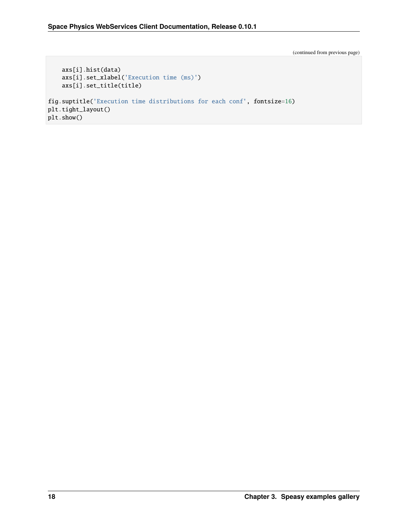(continued from previous page)

```
axs[i].hist(data)
    axs[i].set_xlabel('Execution time (ms)')
    axs[i].set_title(title)
fig.suptitle('Execution time distributions for each conf', fontsize=16)
plt.tight_layout()
plt.show()
```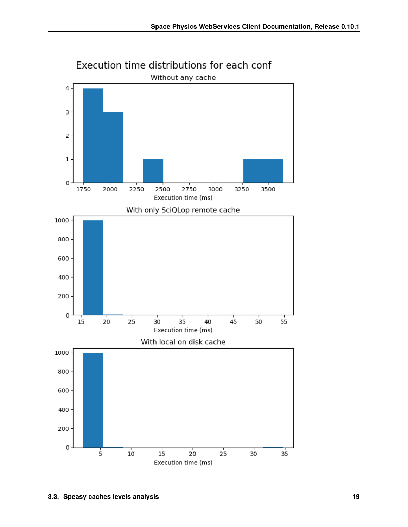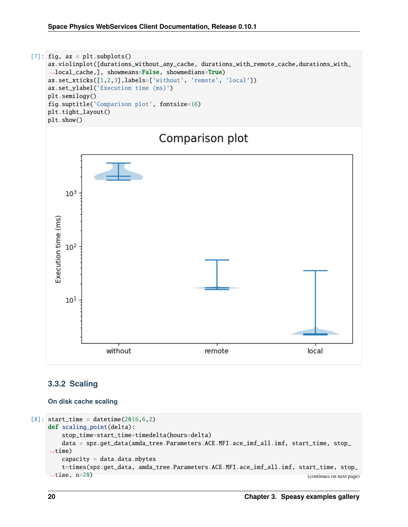

#### **3.3.2 Scaling**

#### **On disk cache scaling**

```
[8]: start_time = datetime(2016,6,2)
    def scaling_point(delta):
       stop_time=start_time+timedelta(hours=delta)
       data = spz.get_data(amda_tree.Parameters.ACE.MFI.ace_imf_all.imf, start_time, stop_
    \rightarrowtime)
       capacity = data.data.nbytest=times(spz.get_data, amda_tree.Parameters.ACE.MFI.ace_imf_all.imf, start_time, stop_
    ˓→time, n=20) (continues on next page)
```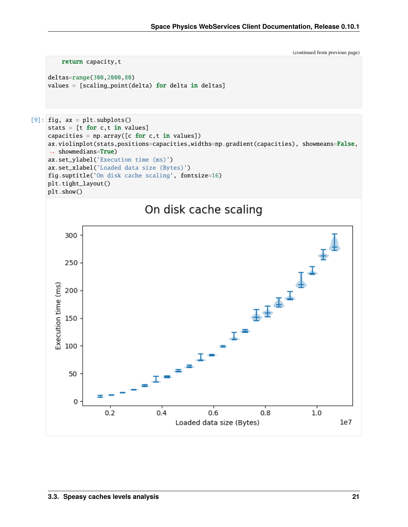(continued from previous page)

```
return capacity, t
```

```
deltas=range(300,2000,80)
values = [scaling\_point(delta) for delta in delta]
```

```
[9]: fig, ax = plt.subplots()
    stats = [t for c, t in values]capacities = np.array([c for c, t in values])ax.violinplot(stats,positions=capacities,widths=np.gradient(capacities), showmeans=False,
     → showmedians=True)
    ax.set_ylabel('Execution time (ms)')
    ax.set_xlabel('Loaded data size (Bytes)')
    fig.suptitle('On disk cache scaling', fontsize=16)
    plt.tight_layout()
    plt.show()
```
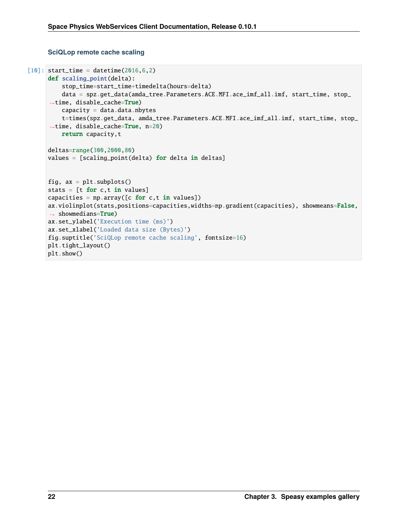#### **SciQLop remote cache scaling**

```
\lceil 10 \rceil: start_time = datetime(2016,6,2)
      def scaling_point(delta):
          stop_time=start_time+timedelta(hours=delta)
          data = spz.get_data(amda_tree.Parameters.ACE.MFI.ace_imf_all.imf, start_time, stop_
      ˓→time, disable_cache=True)
          capacity = data.data.nbytest=times(spz.get_data, amda_tree.Parameters.ACE.MFI.ace_imf_all.imf, start_time, stop_
      \rightarrowtime, disable_cache=True, n=20)
          return capacity,t
      deltas=range(300,2000,80)
      values = [scaling\_point(delta) for delta in delta]fig, ax = plt.subplots()stats = [t for c,t in values]
      capacities = np.array([c for c, t in values])ax.violinplot(stats,positions=capacities,widths=np.gradient(capacities), showmeans=False,
      ˓→ showmedians=True)
      ax.set_ylabel('Execution time (ms)')
      ax.set_xlabel('Loaded data size (Bytes)')
      fig.suptitle('SciQLop remote cache scaling', fontsize=16)
      plt.tight_layout()
     plt.show()
```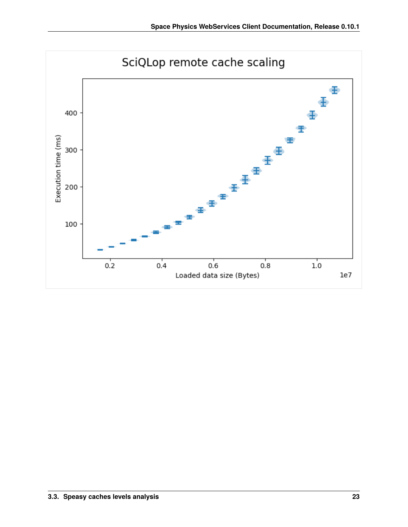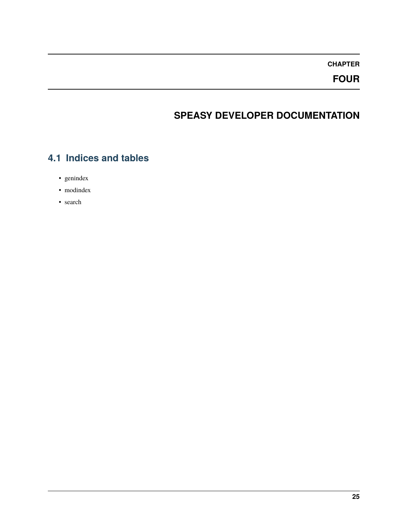**FOUR**

# **SPEASY DEVELOPER DOCUMENTATION**

# <span id="page-28-1"></span><span id="page-28-0"></span>**4.1 Indices and tables**

- genindex
- modindex
- search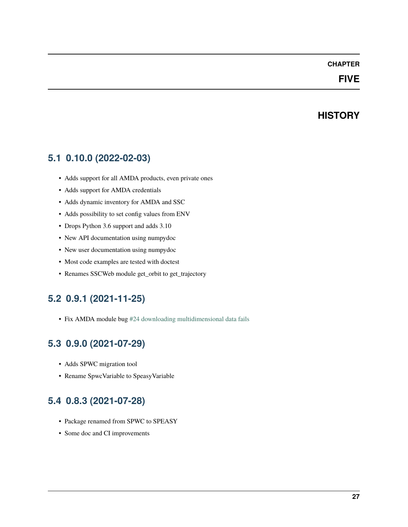### **FIVE**

### **HISTORY**

### <span id="page-30-1"></span><span id="page-30-0"></span>**5.1 0.10.0 (2022-02-03)**

- Adds support for all AMDA products, even private ones
- Adds support for AMDA credentials
- Adds dynamic inventory for AMDA and SSC
- Adds possibility to set config values from ENV
- Drops Python 3.6 support and adds 3.10
- New API documentation using numpydoc
- New user documentation using numpydoc
- Most code examples are tested with doctest
- Renames SSCWeb module get\_orbit to get\_trajectory

### <span id="page-30-2"></span>**5.2 0.9.1 (2021-11-25)**

• Fix AMDA module bug [#24 downloading multidimensional data fails](https://github.com/SciQLop/speasy/issues/24)

# <span id="page-30-3"></span>**5.3 0.9.0 (2021-07-29)**

- Adds SPWC migration tool
- Rename SpwcVariable to SpeasyVariable

### <span id="page-30-4"></span>**5.4 0.8.3 (2021-07-28)**

- Package renamed from SPWC to SPEASY
- Some doc and CI improvements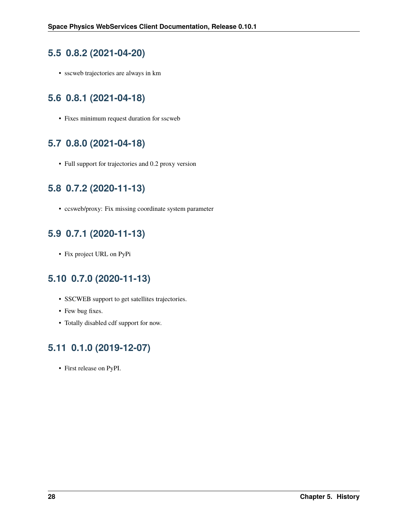### <span id="page-31-0"></span>**5.5 0.8.2 (2021-04-20)**

• sscweb trajectories are always in km

# <span id="page-31-1"></span>**5.6 0.8.1 (2021-04-18)**

• Fixes minimum request duration for sscweb

# <span id="page-31-2"></span>**5.7 0.8.0 (2021-04-18)**

• Full support for trajectories and 0.2 proxy version

# <span id="page-31-3"></span>**5.8 0.7.2 (2020-11-13)**

• ccsweb/proxy: Fix missing coordinate system parameter

# <span id="page-31-4"></span>**5.9 0.7.1 (2020-11-13)**

• Fix project URL on PyPi

### <span id="page-31-5"></span>**5.10 0.7.0 (2020-11-13)**

- SSCWEB support to get satellites trajectories.
- Few bug fixes.
- Totally disabled cdf support for now.

# <span id="page-31-6"></span>**5.11 0.1.0 (2019-12-07)**

• First release on PyPI.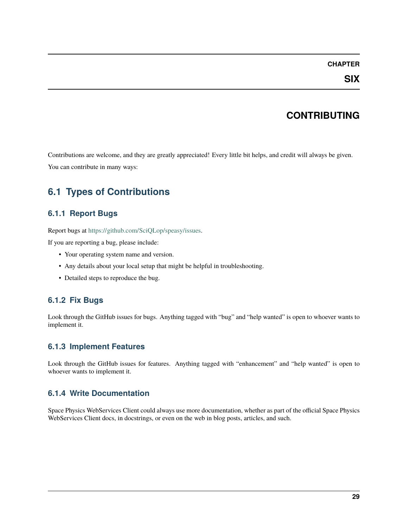**SIX**

### **CONTRIBUTING**

<span id="page-32-0"></span>Contributions are welcome, and they are greatly appreciated! Every little bit helps, and credit will always be given. You can contribute in many ways:

# <span id="page-32-1"></span>**6.1 Types of Contributions**

#### **6.1.1 Report Bugs**

Report bugs at [https://github.com/SciQLop/speasy/issues.](https://github.com/SciQLop/speasy/issues)

If you are reporting a bug, please include:

- Your operating system name and version.
- Any details about your local setup that might be helpful in troubleshooting.
- Detailed steps to reproduce the bug.

#### **6.1.2 Fix Bugs**

Look through the GitHub issues for bugs. Anything tagged with "bug" and "help wanted" is open to whoever wants to implement it.

#### **6.1.3 Implement Features**

Look through the GitHub issues for features. Anything tagged with "enhancement" and "help wanted" is open to whoever wants to implement it.

#### **6.1.4 Write Documentation**

Space Physics WebServices Client could always use more documentation, whether as part of the official Space Physics WebServices Client docs, in docstrings, or even on the web in blog posts, articles, and such.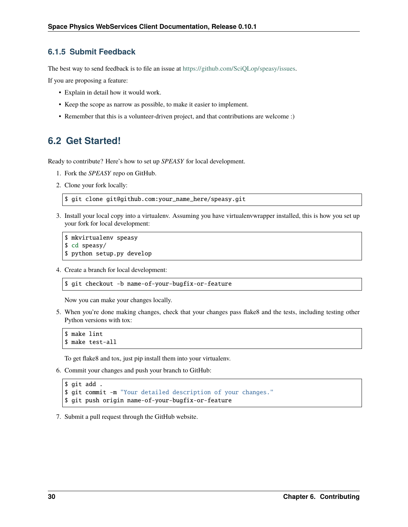#### **6.1.5 Submit Feedback**

The best way to send feedback is to file an issue at [https://github.com/SciQLop/speasy/issues.](https://github.com/SciQLop/speasy/issues)

If you are proposing a feature:

- Explain in detail how it would work.
- Keep the scope as narrow as possible, to make it easier to implement.
- Remember that this is a volunteer-driven project, and that contributions are welcome :)

### <span id="page-33-0"></span>**6.2 Get Started!**

Ready to contribute? Here's how to set up *SPEASY* for local development.

- 1. Fork the *SPEASY* repo on GitHub.
- 2. Clone your fork locally:

\$ git clone git@github.com:your\_name\_here/speasy.git

3. Install your local copy into a virtualenv. Assuming you have virtualenvwrapper installed, this is how you set up your fork for local development:

```
$ mkvirtualenv speasy
$ cd speasy/
$ python setup.py develop
```
4. Create a branch for local development:

```
$ git checkout -b name-of-your-bugfix-or-feature
```
Now you can make your changes locally.

5. When you're done making changes, check that your changes pass flake8 and the tests, including testing other Python versions with tox:

```
$ make lint
$ make test-all
```
To get flake8 and tox, just pip install them into your virtualenv.

```
6. Commit your changes and push your branch to GitHub:
```

```
$ git add .
$ git commit -m "Your detailed description of your changes."
$ git push origin name-of-your-bugfix-or-feature
```
7. Submit a pull request through the GitHub website.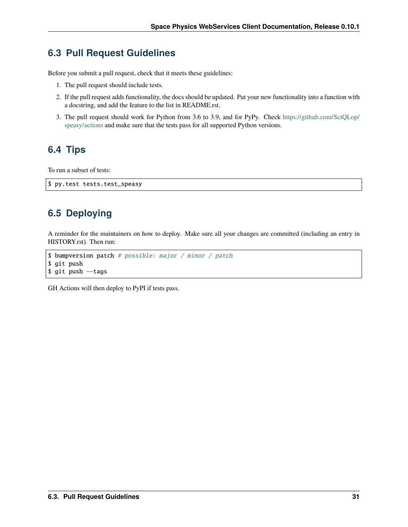### <span id="page-34-0"></span>**6.3 Pull Request Guidelines**

Before you submit a pull request, check that it meets these guidelines:

- 1. The pull request should include tests.
- 2. If the pull request adds functionality, the docs should be updated. Put your new functionality into a function with a docstring, and add the feature to the list in README.rst.
- 3. The pull request should work for Python from 3.6 to 3.9, and for PyPy. Check [https://github.com/SciQLop/](https://github.com/SciQLop/speasy/actions) [speasy/actions](https://github.com/SciQLop/speasy/actions) and make sure that the tests pass for all supported Python versions.

# <span id="page-34-1"></span>**6.4 Tips**

To run a subset of tests:

```
$ py.test tests.test_speasy
```
# <span id="page-34-2"></span>**6.5 Deploying**

A reminder for the maintainers on how to deploy. Make sure all your changes are committed (including an entry in HISTORY.rst). Then run:

```
$ bumpversion patch # possible: major / minor / patch
$ git push
$ git push --tags
```
GH Actions will then deploy to PyPI if tests pass.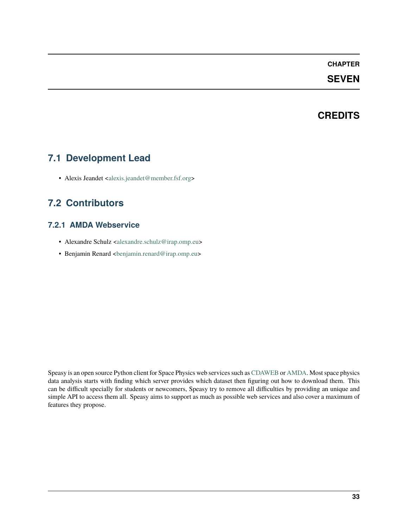#### **SEVEN**

### **CREDITS**

### <span id="page-36-1"></span><span id="page-36-0"></span>**7.1 Development Lead**

• Alexis Jeandet [<alexis.jeandet@member.fsf.org>](mailto:alexis.jeandet@member.fsf.org)

# <span id="page-36-2"></span>**7.2 Contributors**

#### **7.2.1 AMDA Webservice**

- Alexandre Schulz [<alexandre.schulz@irap.omp.eu>](mailto:alexandre.schulz@irap.omp.eu)
- Benjamin Renard [<benjamin.renard@irap.omp.eu>](mailto:benjamin.renard@irap.omp.eu)

Speasy is an open source Python client for Space Physics web services such as [CDAWEB](https://cdaweb.gsfc.nasa.gov/index.html/) or [AMDA.](http://amda.irap.omp.eu/) Most space physics data analysis starts with finding which server provides which dataset then figuring out how to download them. This can be difficult specially for students or newcomers, Speasy try to remove all difficulties by providing an unique and simple API to access them all. Speasy aims to support as much as possible web services and also cover a maximum of features they propose.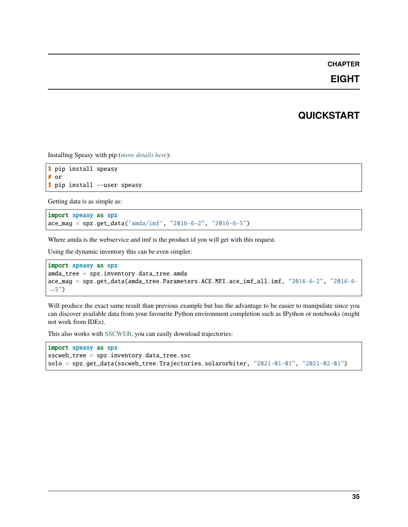### **EIGHT**

### **QUICKSTART**

<span id="page-38-0"></span>Installing Speasy with pip (*[more details here](#page-4-0)*):

```
$ pip install speasy
# or
$ pip install --user speasy
```
Getting data is as simple as:

import speasy as spz  $\texttt{ace\_mag} = \texttt{spz.get\_data('amda/imf', "2016-6-2", "2016-6-5")}$ 

Where amda is the webservice and imf is the product id you will get with this request.

Using the dynamic inventory this can be even simpler:

```
import speasy as spz
amda_tree = spz.inventory.data_tree.amda
ace_mag = spz.get_data(amda_tree.Parameters.ACE.MFI.ace_imf_all.imf, "2016-6-2", "2016-6-
\rightarrow5")
```
Will produce the exact same result than previous example but has the advantage to be easier to manipulate since you can discover available data from your favourite Python environment completion such as IPython or notebooks (might not work from IDEs).

This also works with [SSCWEB,](https://sscweb.gsfc.nasa.gov/) you can easily download trajectories:

```
import speasy as spz
sscweb_tree = spz.inventory.data_tree.ssc
solo = spz.get_data(sscweb_tree.Trajectories.solarorbiter, "2021-01-01", "2021-02-01")
```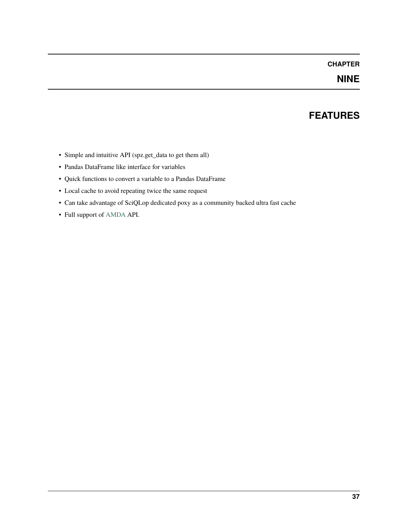### **NINE**

### **FEATURES**

- <span id="page-40-0"></span>• Simple and intuitive API (spz.get\_data to get them all)
- Pandas DataFrame like interface for variables
- Quick functions to convert a variable to a Pandas DataFrame
- Local cache to avoid repeating twice the same request
- Can take advantage of SciQLop dedicated poxy as a community backed ultra fast cache
- Full support of [AMDA](http://amda.irap.omp.eu/) API.